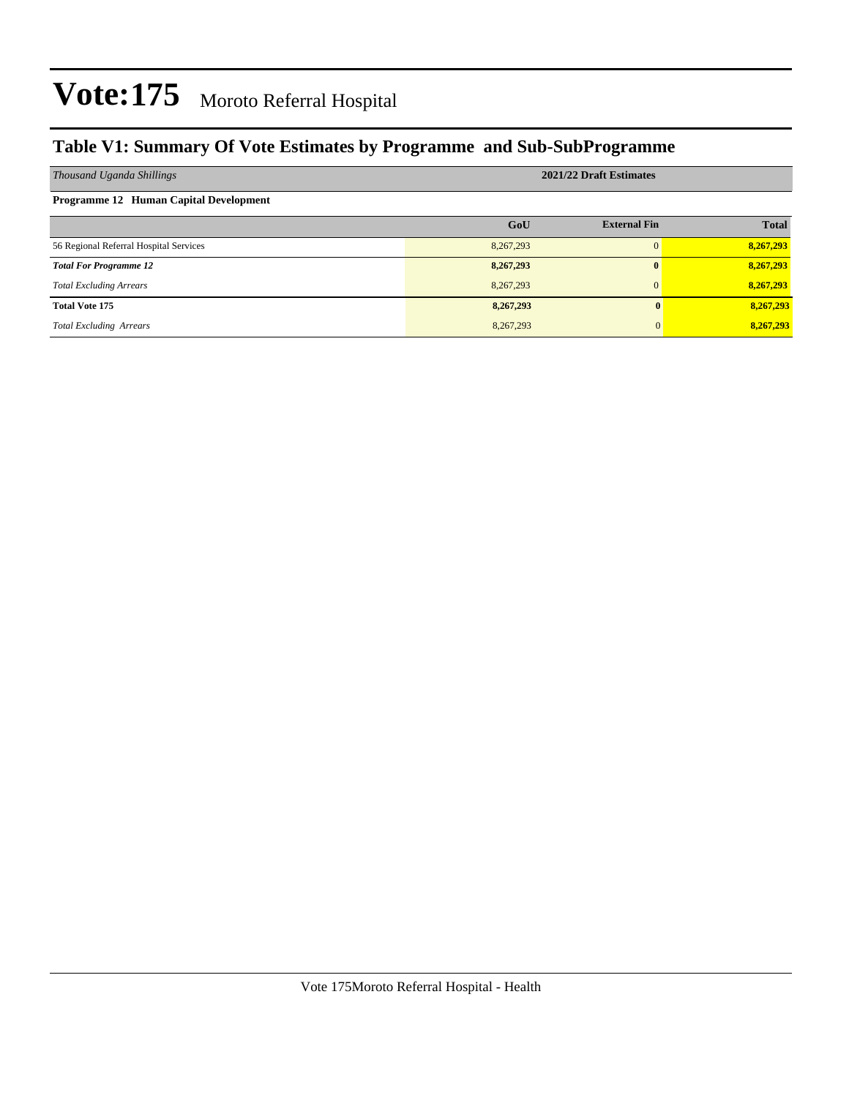### **Table V1: Summary Of Vote Estimates by Programme and Sub-SubProgramme**

| Thousand Uganda Shillings              | 2021/22 Draft Estimates |                     |              |  |  |  |  |  |
|----------------------------------------|-------------------------|---------------------|--------------|--|--|--|--|--|
| Programme 12 Human Capital Development |                         |                     |              |  |  |  |  |  |
|                                        | GoU                     | <b>External Fin</b> | <b>Total</b> |  |  |  |  |  |
| 56 Regional Referral Hospital Services | 8,267,293               | $\Omega$            | 8,267,293    |  |  |  |  |  |
| <b>Total For Programme 12</b>          | 8,267,293               | $\mathbf{0}$        | 8,267,293    |  |  |  |  |  |
| <b>Total Excluding Arrears</b>         | 8,267,293               | $\Omega$            | 8,267,293    |  |  |  |  |  |
| <b>Total Vote 175</b>                  | 8,267,293               |                     | 8,267,293    |  |  |  |  |  |
| <b>Total Excluding Arrears</b>         | 8,267,293               |                     | 8,267,293    |  |  |  |  |  |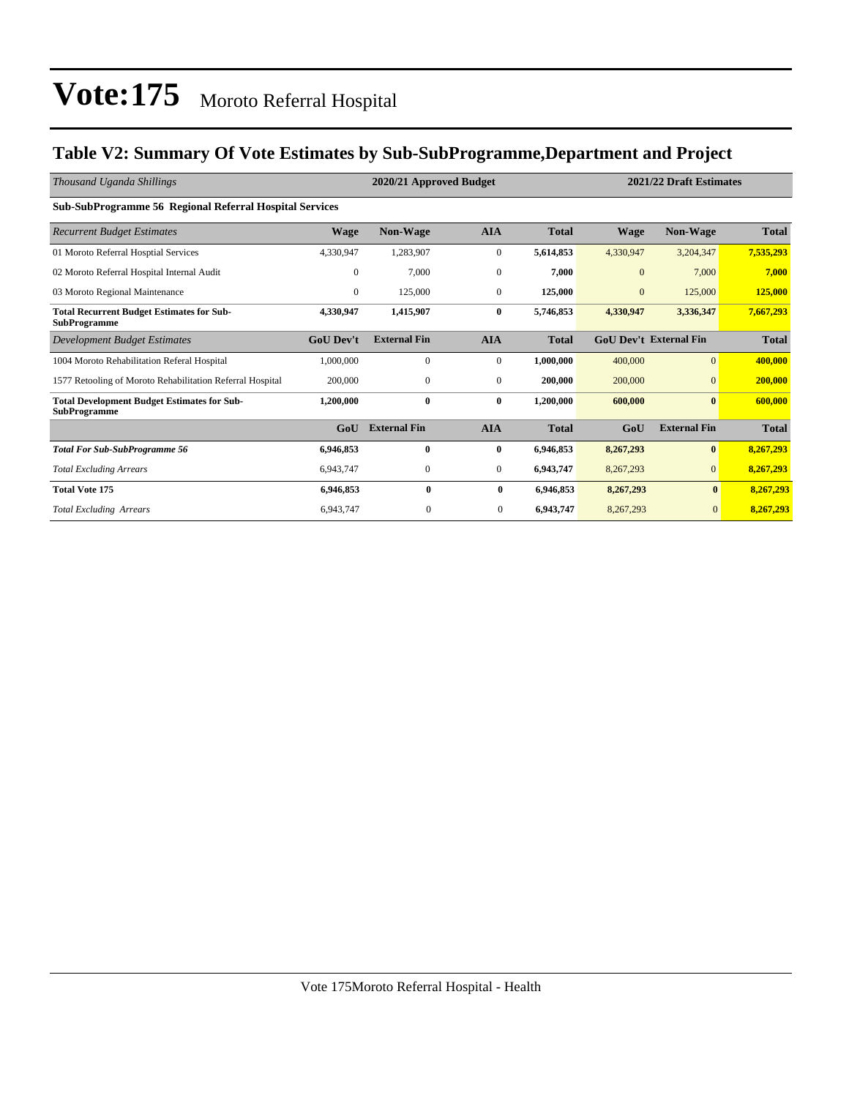### **Table V2: Summary Of Vote Estimates by Sub-SubProgramme,Department and Project**

| Thousand Uganda Shillings                                                 |                  | 2020/21 Approved Budget |                  |              |              | 2021/22 Draft Estimates       |              |
|---------------------------------------------------------------------------|------------------|-------------------------|------------------|--------------|--------------|-------------------------------|--------------|
| Sub-SubProgramme 56 Regional Referral Hospital Services                   |                  |                         |                  |              |              |                               |              |
| <b>Recurrent Budget Estimates</b>                                         | <b>Wage</b>      | Non-Wage                | <b>AIA</b>       | <b>Total</b> | Wage         | Non-Wage                      | <b>Total</b> |
| 01 Moroto Referral Hosptial Services                                      | 4,330,947        | 1,283,907               | $\boldsymbol{0}$ | 5,614,853    | 4,330,947    | 3,204,347                     | 7,535,293    |
| 02 Moroto Referral Hospital Internal Audit                                | $\mathbf{0}$     | 7,000                   | $\mathbf{0}$     | 7,000        | $\mathbf{0}$ | 7,000                         | 7,000        |
| 03 Moroto Regional Maintenance                                            | $\mathbf{0}$     | 125,000                 | $\mathbf{0}$     | 125,000      | $\mathbf{0}$ | 125,000                       | 125,000      |
| <b>Total Recurrent Budget Estimates for Sub-</b><br><b>SubProgramme</b>   | 4,330,947        | 1,415,907               | $\bf{0}$         | 5,746,853    | 4,330,947    | 3,336,347                     | 7,667,293    |
| <b>Development Budget Estimates</b>                                       | <b>GoU Dev't</b> | <b>External Fin</b>     | <b>AIA</b>       | <b>Total</b> |              | <b>GoU Dev't External Fin</b> | <b>Total</b> |
| 1004 Moroto Rehabilitation Referal Hospital                               | 1,000,000        | $\Omega$                | $\mathbf{0}$     | 1,000,000    | 400,000      | $\Omega$                      | 400,000      |
| 1577 Retooling of Moroto Rehabilitation Referral Hospital                 | 200,000          | $\mathbf{0}$            | $\mathbf{0}$     | 200,000      | 200,000      | $\overline{0}$                | 200,000      |
| <b>Total Development Budget Estimates for Sub-</b><br><b>SubProgramme</b> | 1,200,000        | 0                       | $\bf{0}$         | 1,200,000    | 600,000      | $\bf{0}$                      | 600,000      |
|                                                                           | GoU              | <b>External Fin</b>     | <b>AIA</b>       | <b>Total</b> | GoU          | <b>External Fin</b>           | <b>Total</b> |
| <b>Total For Sub-SubProgramme 56</b>                                      | 6,946,853        | 0                       | $\bf{0}$         | 6,946,853    | 8,267,293    | $\bf{0}$                      | 8,267,293    |
| <b>Total Excluding Arrears</b>                                            | 6,943,747        | $\mathbf{0}$            | $\mathbf{0}$     | 6,943,747    | 8,267,293    | $\overline{0}$                | 8,267,293    |
| <b>Total Vote 175</b>                                                     | 6,946,853        | $\bf{0}$                | $\bf{0}$         | 6,946,853    | 8,267,293    | $\bf{0}$                      | 8,267,293    |
| <b>Total Excluding Arrears</b>                                            | 6,943,747        | $\mathbf{0}$            | $\overline{0}$   | 6,943,747    | 8,267,293    | $\mathbf{0}$                  | 8,267,293    |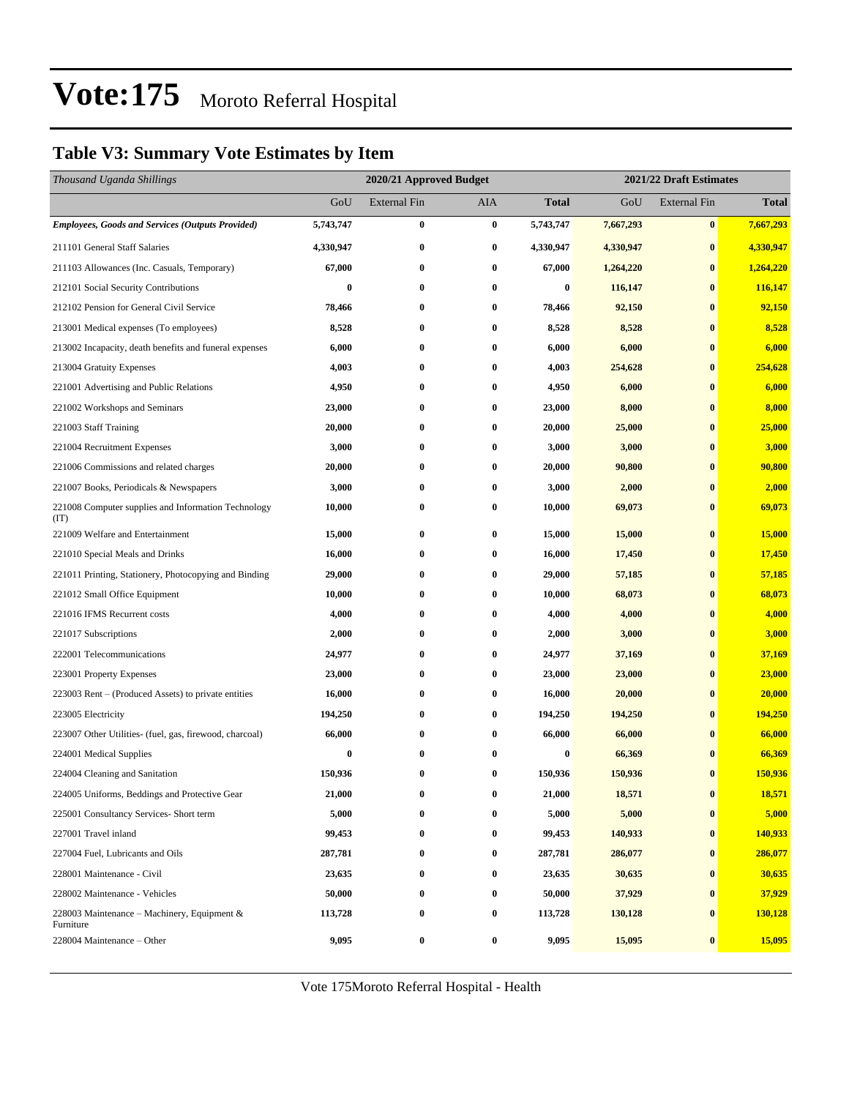### **Table V3: Summary Vote Estimates by Item**

| Thousand Uganda Shillings                                   |           | 2020/21 Approved Budget |                  |                  | 2021/22 Draft Estimates |                     |              |  |
|-------------------------------------------------------------|-----------|-------------------------|------------------|------------------|-------------------------|---------------------|--------------|--|
|                                                             | GoU       | <b>External Fin</b>     | AIA              | <b>Total</b>     | GoU                     | <b>External Fin</b> | <b>Total</b> |  |
| <b>Employees, Goods and Services (Outputs Provided)</b>     | 5,743,747 | $\bf{0}$                | $\bf{0}$         | 5,743,747        | 7,667,293               | $\bf{0}$            | 7,667,293    |  |
| 211101 General Staff Salaries                               | 4,330,947 | $\bf{0}$                | $\bf{0}$         | 4,330,947        | 4,330,947               | $\bf{0}$            | 4,330,947    |  |
| 211103 Allowances (Inc. Casuals, Temporary)                 | 67,000    | $\bf{0}$                | $\bf{0}$         | 67,000           | 1,264,220               | $\bf{0}$            | 1,264,220    |  |
| 212101 Social Security Contributions                        | $\bf{0}$  | $\bf{0}$                | $\bf{0}$         | $\boldsymbol{0}$ | 116,147                 | $\bf{0}$            | 116,147      |  |
| 212102 Pension for General Civil Service                    | 78,466    | $\bf{0}$                | $\bf{0}$         | 78,466           | 92,150                  | $\bf{0}$            | 92,150       |  |
| 213001 Medical expenses (To employees)                      | 8,528     | $\bf{0}$                | $\bf{0}$         | 8,528            | 8,528                   | $\bf{0}$            | 8,528        |  |
| 213002 Incapacity, death benefits and funeral expenses      | 6,000     | $\bf{0}$                | $\bf{0}$         | 6,000            | 6,000                   | $\bf{0}$            | 6,000        |  |
| 213004 Gratuity Expenses                                    | 4,003     | $\bf{0}$                | $\bf{0}$         | 4,003            | 254,628                 | $\bf{0}$            | 254,628      |  |
| 221001 Advertising and Public Relations                     | 4,950     | $\bf{0}$                | $\bf{0}$         | 4,950            | 6,000                   | $\bf{0}$            | 6,000        |  |
| 221002 Workshops and Seminars                               | 23,000    | $\bf{0}$                | $\bf{0}$         | 23,000           | 8,000                   | $\bf{0}$            | 8,000        |  |
| 221003 Staff Training                                       | 20,000    | $\bf{0}$                | $\bf{0}$         | 20,000           | 25,000                  | $\bf{0}$            | 25,000       |  |
| 221004 Recruitment Expenses                                 | 3,000     | $\bf{0}$                | $\bf{0}$         | 3,000            | 3,000                   | $\bf{0}$            | 3,000        |  |
| 221006 Commissions and related charges                      | 20,000    | $\bf{0}$                | $\bf{0}$         | 20,000           | 90,800                  | $\bf{0}$            | 90,800       |  |
| 221007 Books, Periodicals & Newspapers                      | 3,000     | $\bf{0}$                | $\bf{0}$         | 3,000            | 2,000                   | $\bf{0}$            | 2,000        |  |
| 221008 Computer supplies and Information Technology<br>(TT) | 10,000    | $\bf{0}$                | $\bf{0}$         | 10,000           | 69,073                  | $\bf{0}$            | 69,073       |  |
| 221009 Welfare and Entertainment                            | 15,000    | $\bf{0}$                | $\bf{0}$         | 15,000           | 15,000                  | $\bf{0}$            | 15,000       |  |
| 221010 Special Meals and Drinks                             | 16,000    | $\bf{0}$                | $\bf{0}$         | 16,000           | 17,450                  | $\bf{0}$            | 17,450       |  |
| 221011 Printing, Stationery, Photocopying and Binding       | 29,000    | $\bf{0}$                | $\bf{0}$         | 29,000           | 57,185                  | $\bf{0}$            | 57,185       |  |
| 221012 Small Office Equipment                               | 10,000    | $\bf{0}$                | $\bf{0}$         | 10,000           | 68,073                  | $\bf{0}$            | 68,073       |  |
| 221016 IFMS Recurrent costs                                 | 4,000     | $\bf{0}$                | $\bf{0}$         | 4,000            | 4,000                   | $\bf{0}$            | 4,000        |  |
| 221017 Subscriptions                                        | 2,000     | $\bf{0}$                | $\bf{0}$         | 2,000            | 3,000                   | $\bf{0}$            | 3,000        |  |
| 222001 Telecommunications                                   | 24,977    | $\bf{0}$                | $\bf{0}$         | 24,977           | 37,169                  | $\bf{0}$            | 37,169       |  |
| 223001 Property Expenses                                    | 23,000    | $\bf{0}$                | $\bf{0}$         | 23,000           | 23,000                  | $\bf{0}$            | 23,000       |  |
| 223003 Rent – (Produced Assets) to private entities         | 16,000    | $\bf{0}$                | $\bf{0}$         | 16,000           | 20,000                  | $\bf{0}$            | 20,000       |  |
| 223005 Electricity                                          | 194,250   | $\bf{0}$                | $\bf{0}$         | 194,250          | 194,250                 | $\bf{0}$            | 194,250      |  |
| 223007 Other Utilities- (fuel, gas, firewood, charcoal)     | 66,000    | $\bf{0}$                | $\bf{0}$         | 66,000           | 66,000                  | $\bf{0}$            | 66,000       |  |
| 224001 Medical Supplies                                     | $\bf{0}$  | $\bf{0}$                | $\bf{0}$         | 0                | 66,369                  | $\bf{0}$            | 66,369       |  |
| 224004 Cleaning and Sanitation                              | 150,936   | $\bf{0}$                | $\bf{0}$         | 150,936          | 150,936                 | $\bf{0}$            | 150,936      |  |
| 224005 Uniforms, Beddings and Protective Gear               | 21,000    | 0                       | $\boldsymbol{0}$ | 21,000           | 18,571                  | $\bf{0}$            | 18,571       |  |
| 225001 Consultancy Services- Short term                     | 5,000     | $\bf{0}$                | 0                | 5,000            | 5,000                   | $\bf{0}$            | 5,000        |  |
| 227001 Travel inland                                        | 99,453    | $\bf{0}$                | $\bf{0}$         | 99,453           | 140,933                 | $\bf{0}$            | 140,933      |  |
| 227004 Fuel, Lubricants and Oils                            | 287,781   | $\boldsymbol{0}$        | 0                | 287,781          | 286,077                 | $\bf{0}$            | 286,077      |  |
| 228001 Maintenance - Civil                                  | 23,635    | $\boldsymbol{0}$        | $\boldsymbol{0}$ | 23,635           | 30,635                  | $\bf{0}$            | 30,635       |  |
| 228002 Maintenance - Vehicles                               | 50,000    | $\bf{0}$                | $\bf{0}$         | 50,000           | 37,929                  | $\bf{0}$            | 37,929       |  |
| 228003 Maintenance – Machinery, Equipment $\&$<br>Furniture | 113,728   | $\bf{0}$                | $\boldsymbol{0}$ | 113,728          | 130,128                 | $\bf{0}$            | 130,128      |  |
| 228004 Maintenance - Other                                  | 9,095     | $\bf{0}$                | 0                | 9,095            | 15,095                  | $\bf{0}$            | 15,095       |  |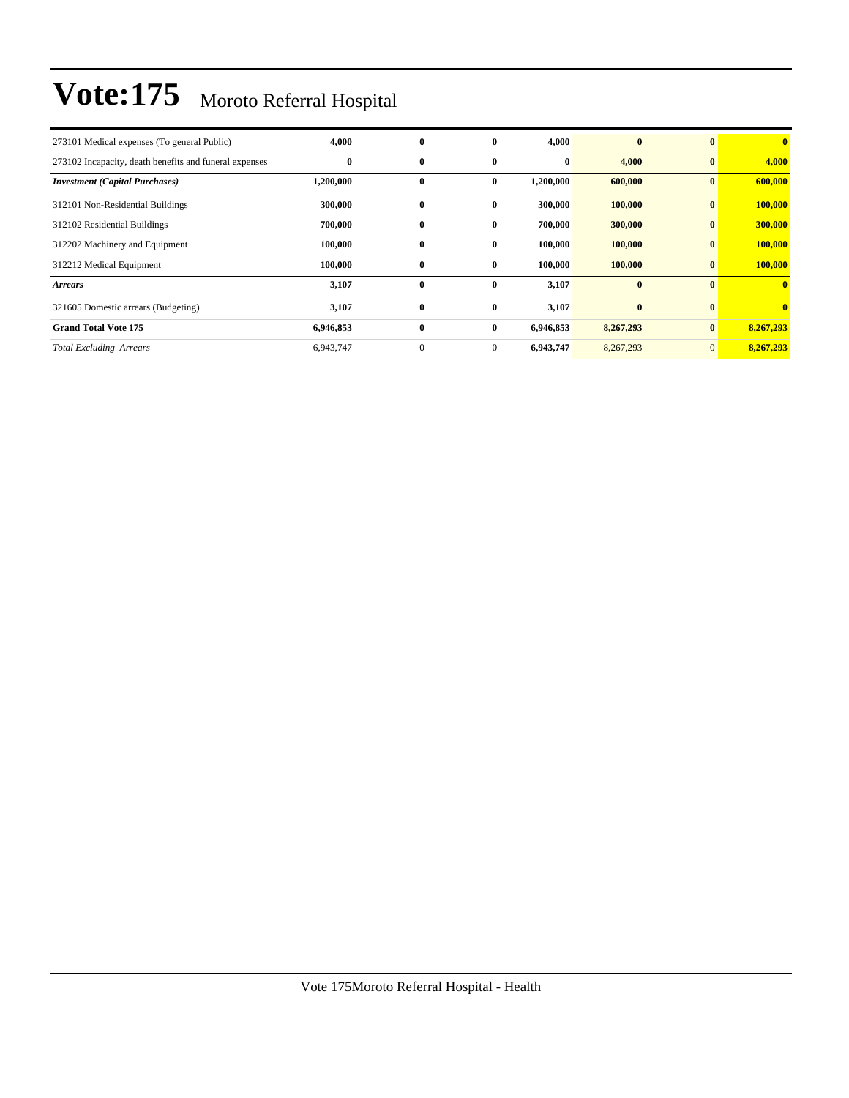| 273101 Medical expenses (To general Public)            | 4,000     | $\bf{0}$     | 0              | 4,000     | $\mathbf{0}$ | $\mathbf{0}$   | $\mathbf{0}$ |
|--------------------------------------------------------|-----------|--------------|----------------|-----------|--------------|----------------|--------------|
| 273102 Incapacity, death benefits and funeral expenses | $\bf{0}$  | 0            | $\bf{0}$       | $\bf{0}$  | 4,000        | $\bf{0}$       | 4,000        |
| <b>Investment</b> (Capital Purchases)                  | 1,200,000 | 0            | $\bf{0}$       | 1,200,000 | 600,000      | $\bf{0}$       | 600,000      |
| 312101 Non-Residential Buildings                       | 300,000   | 0            | $\bf{0}$       | 300,000   | 100,000      | $\bf{0}$       | 100,000      |
| 312102 Residential Buildings                           | 700,000   | 0            | $\bf{0}$       | 700,000   | 300,000      | $\bf{0}$       | 300,000      |
| 312202 Machinery and Equipment                         | 100,000   | 0            | $\bf{0}$       | 100,000   | 100,000      | $\bf{0}$       | 100,000      |
| 312212 Medical Equipment                               | 100,000   | $\bf{0}$     | $\bf{0}$       | 100,000   | 100,000      | $\bf{0}$       | 100,000      |
| <b>Arrears</b>                                         | 3,107     | $\bf{0}$     | $\bf{0}$       | 3,107     | $\bf{0}$     | $\mathbf{0}$   | $\mathbf{0}$ |
| 321605 Domestic arrears (Budgeting)                    | 3,107     | $\bf{0}$     | $\bf{0}$       | 3,107     | $\bf{0}$     | $\mathbf{0}$   | $\mathbf{0}$ |
| <b>Grand Total Vote 175</b>                            | 6,946,853 | $\bf{0}$     | $\bf{0}$       | 6,946,853 | 8,267,293    | $\bf{0}$       | 8,267,293    |
| <b>Total Excluding Arrears</b>                         | 6,943,747 | $\mathbf{0}$ | $\overline{0}$ | 6,943,747 | 8,267,293    | $\overline{0}$ | 8,267,293    |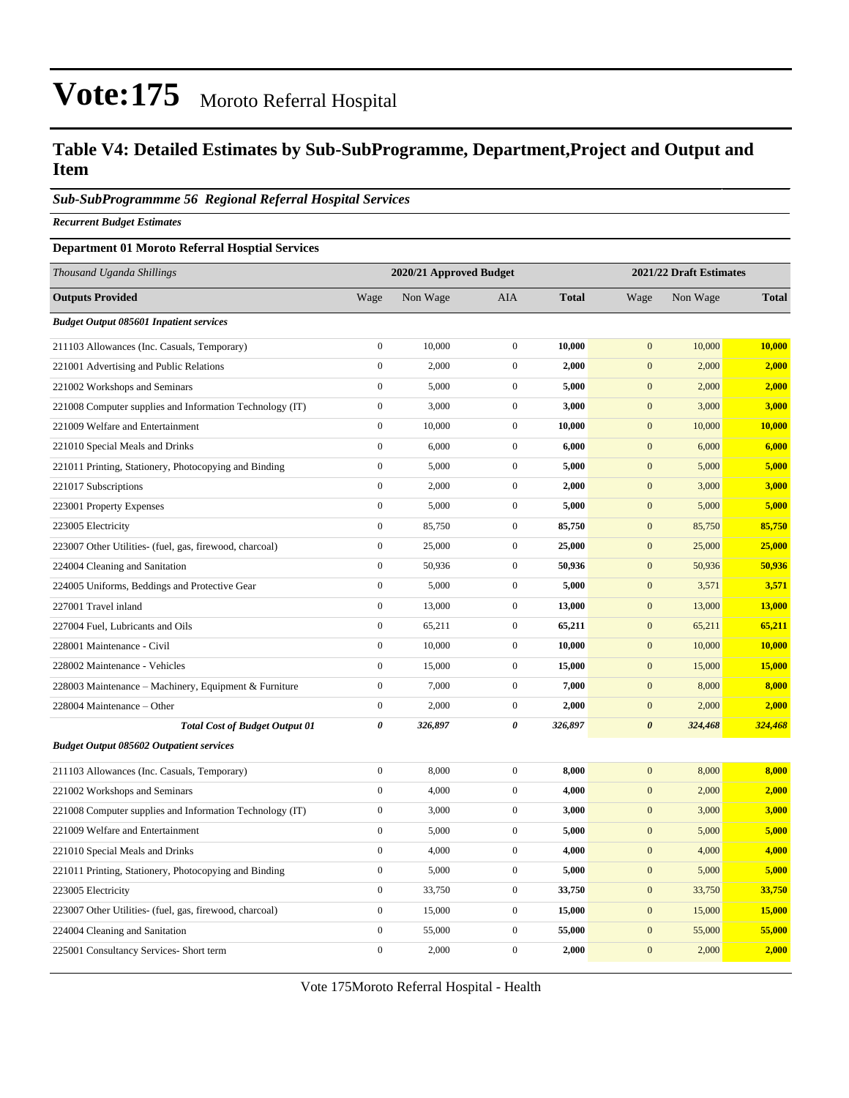### **Table V4: Detailed Estimates by Sub-SubProgramme, Department,Project and Output and Item**

#### *Sub-SubProgrammme 56 Regional Referral Hospital Services*

*Recurrent Budget Estimates*

#### **Department 01 Moroto Referral Hosptial Services**

| Thousand Uganda Shillings                                |                  | 2020/21 Approved Budget |                  |              |                  | 2021/22 Draft Estimates |              |
|----------------------------------------------------------|------------------|-------------------------|------------------|--------------|------------------|-------------------------|--------------|
| <b>Outputs Provided</b>                                  | Wage             | Non Wage                | <b>AIA</b>       | <b>Total</b> | Wage             | Non Wage                | <b>Total</b> |
| <b>Budget Output 085601 Inpatient services</b>           |                  |                         |                  |              |                  |                         |              |
| 211103 Allowances (Inc. Casuals, Temporary)              | $\boldsymbol{0}$ | 10,000                  | $\boldsymbol{0}$ | 10,000       | $\mathbf{0}$     | 10,000                  | 10,000       |
| 221001 Advertising and Public Relations                  | $\boldsymbol{0}$ | 2,000                   | $\boldsymbol{0}$ | 2,000        | $\mathbf{0}$     | 2,000                   | 2,000        |
| 221002 Workshops and Seminars                            | $\boldsymbol{0}$ | 5,000                   | $\mathbf{0}$     | 5,000        | $\mathbf{0}$     | 2,000                   | 2,000        |
| 221008 Computer supplies and Information Technology (IT) | $\boldsymbol{0}$ | 3,000                   | $\boldsymbol{0}$ | 3,000        | $\mathbf{0}$     | 3,000                   | 3,000        |
| 221009 Welfare and Entertainment                         | $\boldsymbol{0}$ | 10,000                  | $\mathbf{0}$     | 10,000       | $\mathbf{0}$     | 10,000                  | 10,000       |
| 221010 Special Meals and Drinks                          | $\boldsymbol{0}$ | 6,000                   | $\boldsymbol{0}$ | 6,000        | $\mathbf{0}$     | 6,000                   | 6,000        |
| 221011 Printing, Stationery, Photocopying and Binding    | $\boldsymbol{0}$ | 5,000                   | $\boldsymbol{0}$ | 5,000        | $\mathbf{0}$     | 5,000                   | 5,000        |
| 221017 Subscriptions                                     | $\boldsymbol{0}$ | 2,000                   | $\boldsymbol{0}$ | 2,000        | $\boldsymbol{0}$ | 3,000                   | 3,000        |
| 223001 Property Expenses                                 | $\boldsymbol{0}$ | 5,000                   | $\mathbf{0}$     | 5,000        | $\mathbf{0}$     | 5,000                   | 5,000        |
| 223005 Electricity                                       | $\boldsymbol{0}$ | 85,750                  | $\boldsymbol{0}$ | 85,750       | $\boldsymbol{0}$ | 85,750                  | 85,750       |
| 223007 Other Utilities- (fuel, gas, firewood, charcoal)  | $\boldsymbol{0}$ | 25,000                  | $\boldsymbol{0}$ | 25,000       | $\mathbf{0}$     | 25,000                  | 25,000       |
| 224004 Cleaning and Sanitation                           | $\boldsymbol{0}$ | 50,936                  | $\boldsymbol{0}$ | 50,936       | $\boldsymbol{0}$ | 50,936                  | 50,936       |
| 224005 Uniforms, Beddings and Protective Gear            | $\boldsymbol{0}$ | 5,000                   | $\boldsymbol{0}$ | 5,000        | $\mathbf{0}$     | 3,571                   | 3,571        |
| 227001 Travel inland                                     | $\boldsymbol{0}$ | 13,000                  | $\boldsymbol{0}$ | 13,000       | $\boldsymbol{0}$ | 13,000                  | 13,000       |
| 227004 Fuel, Lubricants and Oils                         | $\boldsymbol{0}$ | 65,211                  | $\mathbf{0}$     | 65,211       | $\boldsymbol{0}$ | 65,211                  | 65,211       |
| 228001 Maintenance - Civil                               | $\boldsymbol{0}$ | 10,000                  | $\boldsymbol{0}$ | 10,000       | $\boldsymbol{0}$ | 10,000                  | 10,000       |
| 228002 Maintenance - Vehicles                            | $\boldsymbol{0}$ | 15,000                  | $\boldsymbol{0}$ | 15,000       | $\boldsymbol{0}$ | 15,000                  | 15,000       |
| 228003 Maintenance - Machinery, Equipment & Furniture    | $\boldsymbol{0}$ | 7,000                   | $\boldsymbol{0}$ | 7,000        | $\boldsymbol{0}$ | 8,000                   | 8,000        |
| 228004 Maintenance - Other                               | $\boldsymbol{0}$ | 2,000                   | $\mathbf{0}$     | 2,000        | $\mathbf{0}$     | 2,000                   | 2,000        |
| <b>Total Cost of Budget Output 01</b>                    | 0                | 326,897                 | $\pmb{\theta}$   | 326,897      | $\pmb{\theta}$   | 324,468                 | 324,468      |
| <b>Budget Output 085602 Outpatient services</b>          |                  |                         |                  |              |                  |                         |              |
| 211103 Allowances (Inc. Casuals, Temporary)              | $\boldsymbol{0}$ | 8,000                   | $\boldsymbol{0}$ | 8,000        | $\mathbf{0}$     | 8,000                   | 8,000        |
| 221002 Workshops and Seminars                            | $\boldsymbol{0}$ | 4,000                   | $\mathbf{0}$     | 4,000        | $\mathbf{0}$     | 2,000                   | 2,000        |
| 221008 Computer supplies and Information Technology (IT) | $\boldsymbol{0}$ | 3,000                   | $\boldsymbol{0}$ | 3,000        | $\boldsymbol{0}$ | 3,000                   | 3,000        |
| 221009 Welfare and Entertainment                         | $\boldsymbol{0}$ | 5,000                   | $\mathbf{0}$     | 5,000        | $\mathbf{0}$     | 5,000                   | 5,000        |
| 221010 Special Meals and Drinks                          | $\boldsymbol{0}$ | 4,000                   | $\boldsymbol{0}$ | 4,000        | $\boldsymbol{0}$ | 4,000                   | 4,000        |
| 221011 Printing, Stationery, Photocopying and Binding    | $\boldsymbol{0}$ | 5,000                   | $\mathbf{0}$     | 5,000        | $\mathbf{0}$     | 5,000                   | 5,000        |
| 223005 Electricity                                       | $\boldsymbol{0}$ | 33,750                  | $\boldsymbol{0}$ | 33,750       | $\boldsymbol{0}$ | 33,750                  | 33,750       |
| 223007 Other Utilities- (fuel, gas, firewood, charcoal)  | $\boldsymbol{0}$ | 15,000                  | $\mathbf{0}$     | 15,000       | $\boldsymbol{0}$ | 15,000                  | 15,000       |
| 224004 Cleaning and Sanitation                           | $\boldsymbol{0}$ | 55,000                  | $\boldsymbol{0}$ | 55,000       | $\boldsymbol{0}$ | 55,000                  | 55,000       |
| 225001 Consultancy Services- Short term                  | $\boldsymbol{0}$ | 2,000                   | $\mathbf{0}$     | 2,000        | $\mathbf{0}$     | 2,000                   | 2,000        |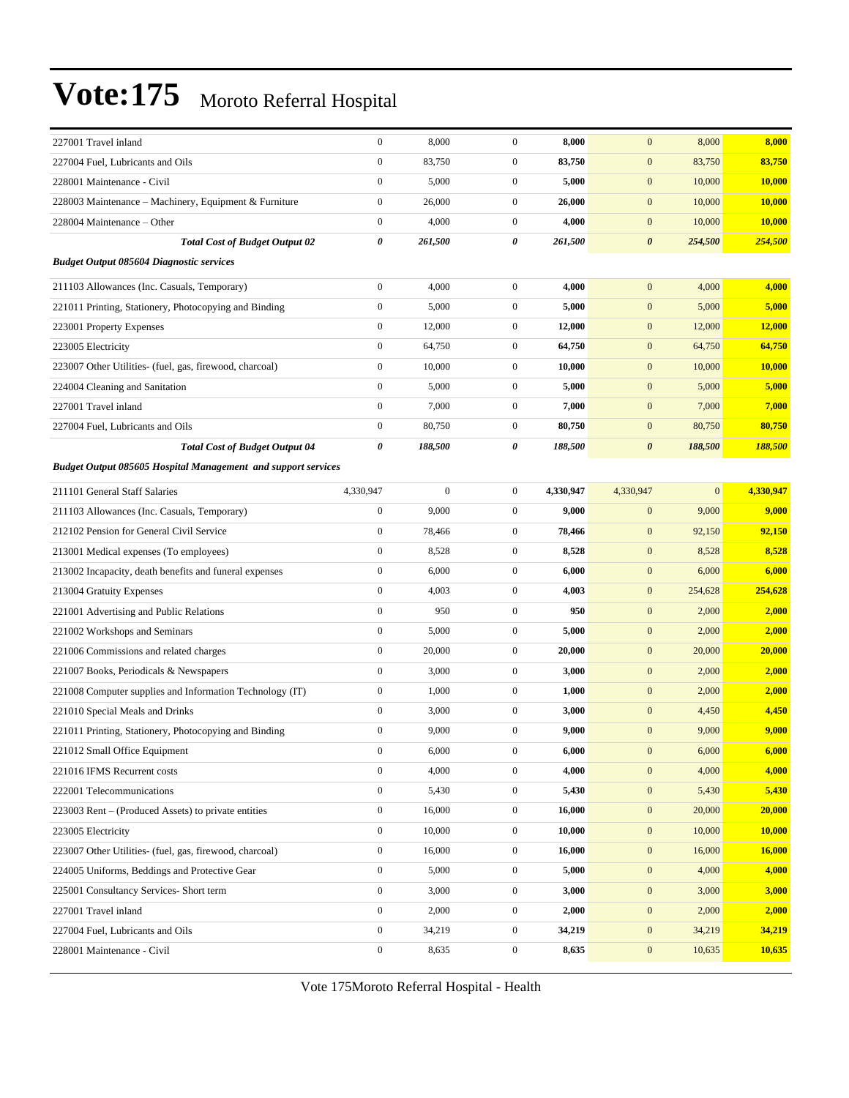| 227001 Travel inland                                          | $\boldsymbol{0}$ | 8,000            | $\mathbf{0}$     | 8,000     | $\boldsymbol{0}$      | 8,000        | 8,000         |
|---------------------------------------------------------------|------------------|------------------|------------------|-----------|-----------------------|--------------|---------------|
| 227004 Fuel, Lubricants and Oils                              | $\boldsymbol{0}$ | 83,750           | $\overline{0}$   | 83,750    | $\mathbf{0}$          | 83,750       | 83,750        |
| 228001 Maintenance - Civil                                    | $\boldsymbol{0}$ | 5,000            | $\overline{0}$   | 5,000     | $\mathbf{0}$          | 10,000       | 10,000        |
| 228003 Maintenance – Machinery, Equipment & Furniture         | $\boldsymbol{0}$ | 26,000           | $\mathbf{0}$     | 26,000    | $\mathbf{0}$          | 10,000       | <b>10,000</b> |
| 228004 Maintenance – Other                                    | $\boldsymbol{0}$ | 4,000            | $\mathbf{0}$     | 4,000     | $\mathbf{0}$          | 10,000       | 10,000        |
| <b>Total Cost of Budget Output 02</b>                         | $\pmb{\theta}$   | 261,500          | 0                | 261,500   | $\boldsymbol{\theta}$ | 254,500      | 254,500       |
| <b>Budget Output 085604 Diagnostic services</b>               |                  |                  |                  |           |                       |              |               |
| 211103 Allowances (Inc. Casuals, Temporary)                   | $\boldsymbol{0}$ | 4,000            | $\overline{0}$   | 4,000     | $\mathbf{0}$          | 4,000        | 4,000         |
| 221011 Printing, Stationery, Photocopying and Binding         | $\boldsymbol{0}$ | 5,000            | $\mathbf{0}$     | 5,000     | $\mathbf{0}$          | 5,000        | 5,000         |
| 223001 Property Expenses                                      | $\boldsymbol{0}$ | 12,000           | $\boldsymbol{0}$ | 12,000    | $\mathbf{0}$          | 12,000       | <b>12,000</b> |
| 223005 Electricity                                            | $\boldsymbol{0}$ | 64,750           | $\mathbf{0}$     | 64,750    | $\mathbf{0}$          | 64,750       | 64,750        |
| 223007 Other Utilities- (fuel, gas, firewood, charcoal)       | $\boldsymbol{0}$ | 10,000           | $\mathbf{0}$     | 10,000    | $\mathbf{0}$          | 10,000       | <b>10,000</b> |
| 224004 Cleaning and Sanitation                                | $\boldsymbol{0}$ | 5,000            | $\mathbf{0}$     | 5,000     | $\mathbf{0}$          | 5,000        | 5,000         |
| 227001 Travel inland                                          | $\boldsymbol{0}$ | 7,000            | $\mathbf{0}$     | 7,000     | $\mathbf{0}$          | 7,000        | 7,000         |
| 227004 Fuel, Lubricants and Oils                              | $\boldsymbol{0}$ | 80,750           | $\mathbf{0}$     | 80,750    | $\mathbf{0}$          | 80,750       | 80,750        |
| <b>Total Cost of Budget Output 04</b>                         | 0                | 188,500          | 0                | 188,500   | $\boldsymbol{\theta}$ | 188,500      | 188,500       |
| Budget Output 085605 Hospital Management and support services |                  |                  |                  |           |                       |              |               |
| 211101 General Staff Salaries                                 | 4,330,947        | $\boldsymbol{0}$ | $\mathbf{0}$     | 4,330,947 | 4,330,947             | $\mathbf{0}$ | 4,330,947     |
| 211103 Allowances (Inc. Casuals, Temporary)                   | $\boldsymbol{0}$ | 9,000            | $\overline{0}$   | 9,000     | $\mathbf{0}$          | 9,000        | 9,000         |
| 212102 Pension for General Civil Service                      | $\mathbf{0}$     | 78,466           | $\mathbf{0}$     | 78,466    | $\mathbf{0}$          | 92,150       | 92,150        |
| 213001 Medical expenses (To employees)                        | $\boldsymbol{0}$ | 8,528            | $\mathbf{0}$     | 8,528     | $\mathbf{0}$          | 8,528        | 8,528         |
| 213002 Incapacity, death benefits and funeral expenses        | $\boldsymbol{0}$ | 6,000            | $\mathbf{0}$     | 6,000     | $\mathbf{0}$          | 6,000        | 6,000         |
| 213004 Gratuity Expenses                                      | $\boldsymbol{0}$ | 4,003            | $\mathbf{0}$     | 4,003     | $\mathbf{0}$          | 254,628      | 254,628       |
| 221001 Advertising and Public Relations                       | $\boldsymbol{0}$ | 950              | $\overline{0}$   | 950       | $\mathbf{0}$          | 2,000        | 2,000         |
| 221002 Workshops and Seminars                                 | $\boldsymbol{0}$ | 5,000            | $\overline{0}$   | 5,000     | $\mathbf{0}$          | 2,000        | 2,000         |
| 221006 Commissions and related charges                        | $\boldsymbol{0}$ | 20,000           | $\mathbf{0}$     | 20,000    | $\mathbf{0}$          | 20,000       | 20,000        |
| 221007 Books, Periodicals & Newspapers                        | $\boldsymbol{0}$ | 3,000            | $\mathbf{0}$     | 3,000     | $\mathbf{0}$          | 2,000        | 2,000         |
| 221008 Computer supplies and Information Technology (IT)      | $\boldsymbol{0}$ | 1,000            | $\mathbf{0}$     | 1,000     | $\mathbf{0}$          | 2,000        | 2,000         |
| 221010 Special Meals and Drinks                               | $\boldsymbol{0}$ | 3,000            | $\overline{0}$   | 3,000     | $\mathbf{0}$          | 4,450        | 4,450         |
| 221011 Printing, Stationery, Photocopying and Binding         | $\boldsymbol{0}$ | 9,000            | $\mathbf{0}$     | 9,000     | $\mathbf{0}$          | 9,000        | 9,000         |
| 221012 Small Office Equipment                                 | $\bf{0}$         | 6,000            | $\theta$         | 6,000     | $\bf{0}$              | 6,000        | 6,000         |
| 221016 IFMS Recurrent costs                                   | $\boldsymbol{0}$ | 4,000            | $\overline{0}$   | 4,000     | $\mathbf{0}$          | 4,000        | 4,000         |
| 222001 Telecommunications                                     | $\boldsymbol{0}$ | 5,430            | $\boldsymbol{0}$ | 5,430     | $\mathbf{0}$          | 5,430        | 5,430         |
| 223003 Rent - (Produced Assets) to private entities           | $\boldsymbol{0}$ | 16,000           | $\boldsymbol{0}$ | 16,000    | $\mathbf{0}$          | 20,000       | 20,000        |
| 223005 Electricity                                            | $\boldsymbol{0}$ | 10,000           | $\boldsymbol{0}$ | 10,000    | $\mathbf{0}$          | 10,000       | 10,000        |
| 223007 Other Utilities- (fuel, gas, firewood, charcoal)       | $\boldsymbol{0}$ | 16,000           | $\boldsymbol{0}$ | 16,000    | $\boldsymbol{0}$      | 16,000       | 16,000        |
| 224005 Uniforms, Beddings and Protective Gear                 | $\boldsymbol{0}$ | 5,000            | $\boldsymbol{0}$ | 5,000     | $\mathbf{0}$          | 4,000        | 4,000         |
| 225001 Consultancy Services- Short term                       | $\boldsymbol{0}$ | 3,000            | $\boldsymbol{0}$ | 3,000     | $\mathbf{0}$          | 3,000        | 3,000         |
| 227001 Travel inland                                          | $\boldsymbol{0}$ | 2,000            | $\boldsymbol{0}$ | 2,000     | $\mathbf{0}$          | 2,000        | 2,000         |
| 227004 Fuel, Lubricants and Oils                              | $\boldsymbol{0}$ | 34,219           | $\boldsymbol{0}$ | 34,219    | $\mathbf{0}$          | 34,219       | 34,219        |
| 228001 Maintenance - Civil                                    | $\boldsymbol{0}$ | 8,635            | $\boldsymbol{0}$ | 8,635     | $\boldsymbol{0}$      | 10,635       | 10,635        |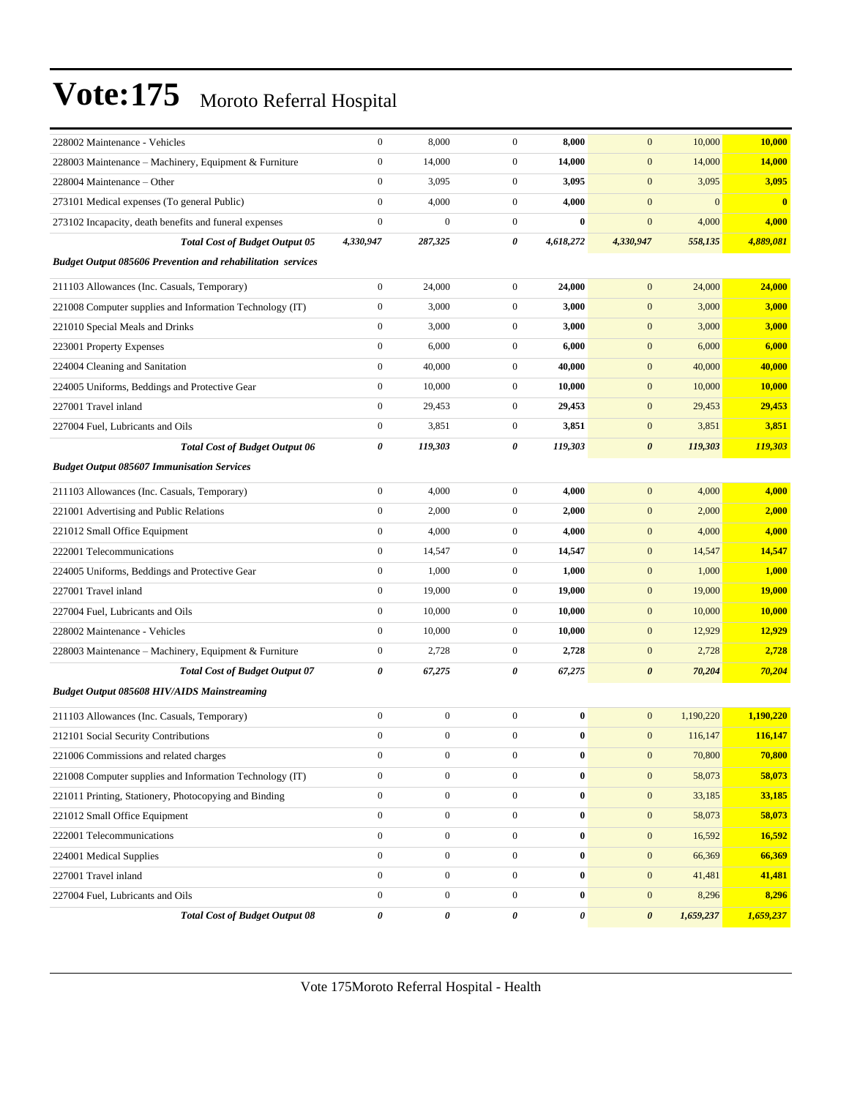| 228002 Maintenance - Vehicles                                      | $\boldsymbol{0}$ | 8,000            | $\boldsymbol{0}$ | 8,000            | $\mathbf{0}$          | 10,000       | 10,000        |
|--------------------------------------------------------------------|------------------|------------------|------------------|------------------|-----------------------|--------------|---------------|
| 228003 Maintenance - Machinery, Equipment & Furniture              | $\boldsymbol{0}$ | 14,000           | $\boldsymbol{0}$ | 14,000           | $\mathbf{0}$          | 14,000       | 14,000        |
| 228004 Maintenance - Other                                         | $\boldsymbol{0}$ | 3,095            | $\boldsymbol{0}$ | 3,095            | $\mathbf{0}$          | 3,095        | 3,095         |
| 273101 Medical expenses (To general Public)                        | $\mathbf{0}$     | 4,000            | $\boldsymbol{0}$ | 4,000            | $\mathbf{0}$          | $\mathbf{0}$ | $\bf{0}$      |
| 273102 Incapacity, death benefits and funeral expenses             | $\boldsymbol{0}$ | $\mathbf{0}$     | $\boldsymbol{0}$ | $\mathbf{0}$     | $\mathbf{0}$          | 4,000        | 4,000         |
| <b>Total Cost of Budget Output 05</b>                              | 4,330,947        | 287,325          | 0                | 4,618,272        | 4,330,947             | 558,135      | 4,889,081     |
| <b>Budget Output 085606 Prevention and rehabilitation services</b> |                  |                  |                  |                  |                       |              |               |
| 211103 Allowances (Inc. Casuals, Temporary)                        | $\boldsymbol{0}$ | 24,000           | $\boldsymbol{0}$ | 24,000           | $\mathbf{0}$          | 24,000       | 24,000        |
| 221008 Computer supplies and Information Technology (IT)           | $\boldsymbol{0}$ | 3,000            | $\boldsymbol{0}$ | 3,000            | $\mathbf{0}$          | 3,000        | 3,000         |
| 221010 Special Meals and Drinks                                    | $\boldsymbol{0}$ | 3,000            | $\boldsymbol{0}$ | 3,000            | $\mathbf{0}$          | 3,000        | 3,000         |
| 223001 Property Expenses                                           | $\boldsymbol{0}$ | 6,000            | $\boldsymbol{0}$ | 6,000            | $\mathbf{0}$          | 6,000        | 6,000         |
| 224004 Cleaning and Sanitation                                     | $\boldsymbol{0}$ | 40,000           | $\boldsymbol{0}$ | 40,000           | $\mathbf{0}$          | 40,000       | 40,000        |
| 224005 Uniforms, Beddings and Protective Gear                      | $\boldsymbol{0}$ | 10,000           | $\boldsymbol{0}$ | 10,000           | $\mathbf{0}$          | 10,000       | 10,000        |
| 227001 Travel inland                                               | $\boldsymbol{0}$ | 29,453           | $\boldsymbol{0}$ | 29,453           | $\mathbf{0}$          | 29,453       | 29,453        |
| 227004 Fuel, Lubricants and Oils                                   | $\boldsymbol{0}$ | 3,851            | $\overline{0}$   | 3,851            | $\mathbf{0}$          | 3,851        | 3,851         |
| <b>Total Cost of Budget Output 06</b>                              | 0                | 119,303          | 0                | 119,303          | $\boldsymbol{\theta}$ | 119,303      | 119,303       |
| <b>Budget Output 085607 Immunisation Services</b>                  |                  |                  |                  |                  |                       |              |               |
| 211103 Allowances (Inc. Casuals, Temporary)                        | $\boldsymbol{0}$ | 4,000            | $\boldsymbol{0}$ | 4,000            | $\mathbf{0}$          | 4,000        | 4,000         |
| 221001 Advertising and Public Relations                            | $\boldsymbol{0}$ | 2,000            | $\boldsymbol{0}$ | 2,000            | $\mathbf{0}$          | 2,000        | 2,000         |
| 221012 Small Office Equipment                                      | $\boldsymbol{0}$ | 4,000            | $\boldsymbol{0}$ | 4,000            | $\mathbf{0}$          | 4,000        | 4,000         |
| 222001 Telecommunications                                          | $\boldsymbol{0}$ | 14,547           | $\boldsymbol{0}$ | 14,547           | $\mathbf{0}$          | 14,547       | 14,547        |
| 224005 Uniforms, Beddings and Protective Gear                      | $\boldsymbol{0}$ | 1,000            | $\boldsymbol{0}$ | 1,000            | $\mathbf{0}$          | 1,000        | 1,000         |
| 227001 Travel inland                                               | $\boldsymbol{0}$ | 19,000           | $\boldsymbol{0}$ | 19,000           | $\mathbf{0}$          | 19,000       | <b>19,000</b> |
| 227004 Fuel, Lubricants and Oils                                   | $\boldsymbol{0}$ | 10,000           | $\boldsymbol{0}$ | 10,000           | $\mathbf{0}$          | 10,000       | 10,000        |
| 228002 Maintenance - Vehicles                                      | $\boldsymbol{0}$ | 10,000           | $\boldsymbol{0}$ | 10,000           | $\mathbf{0}$          | 12,929       | 12,929        |
| 228003 Maintenance - Machinery, Equipment & Furniture              | $\boldsymbol{0}$ | 2,728            | $\boldsymbol{0}$ | 2,728            | $\mathbf{0}$          | 2,728        | 2,728         |
| <b>Total Cost of Budget Output 07</b>                              | 0                | 67,275           | 0                | 67,275           | $\boldsymbol{\theta}$ | 70,204       | 70,204        |
| <b>Budget Output 085608 HIV/AIDS Mainstreaming</b>                 |                  |                  |                  |                  |                       |              |               |
| 211103 Allowances (Inc. Casuals, Temporary)                        | $\boldsymbol{0}$ | $\boldsymbol{0}$ | $\boldsymbol{0}$ | $\bf{0}$         | $\mathbf{0}$          | 1,190,220    | 1,190,220     |
| 212101 Social Security Contributions                               | $\boldsymbol{0}$ | $\boldsymbol{0}$ | $\boldsymbol{0}$ | $\bf{0}$         | $\mathbf{0}$          | 116,147      | 116,147       |
| 221006 Commissions and related charges                             | $\boldsymbol{0}$ | $\boldsymbol{0}$ | $\boldsymbol{0}$ | $\boldsymbol{0}$ | $\mathbf{0}$          | 70,800       | 70,800        |
| 221008 Computer supplies and Information Technology (IT)           | $\boldsymbol{0}$ | $\boldsymbol{0}$ | $\boldsymbol{0}$ | $\bf{0}$         | $\mathbf{0}$          | 58,073       | 58,073        |
| 221011 Printing, Stationery, Photocopying and Binding              | $\boldsymbol{0}$ | $\boldsymbol{0}$ | $\boldsymbol{0}$ | $\bf{0}$         | $\mathbf{0}$          | 33,185       | 33,185        |
| 221012 Small Office Equipment                                      | $\boldsymbol{0}$ | $\boldsymbol{0}$ | $\boldsymbol{0}$ | $\bf{0}$         | $\mathbf{0}$          | 58,073       | 58,073        |
| 222001 Telecommunications                                          | $\boldsymbol{0}$ | $\boldsymbol{0}$ | $\boldsymbol{0}$ | $\bf{0}$         | $\mathbf{0}$          | 16,592       | 16,592        |
| 224001 Medical Supplies                                            | $\mathbf{0}$     | $\boldsymbol{0}$ | $\boldsymbol{0}$ | $\bf{0}$         | $\mathbf{0}$          | 66,369       | 66,369        |
| 227001 Travel inland                                               | $\boldsymbol{0}$ | $\boldsymbol{0}$ | $\boldsymbol{0}$ | $\bf{0}$         | $\mathbf{0}$          | 41,481       | 41,481        |
| 227004 Fuel, Lubricants and Oils                                   | $\boldsymbol{0}$ | $\boldsymbol{0}$ | $\boldsymbol{0}$ | $\bf{0}$         | $\mathbf{0}$          | 8,296        | 8,296         |
| <b>Total Cost of Budget Output 08</b>                              | 0                | 0                | 0                | 0                | $\boldsymbol{\theta}$ | 1,659,237    | 1,659,237     |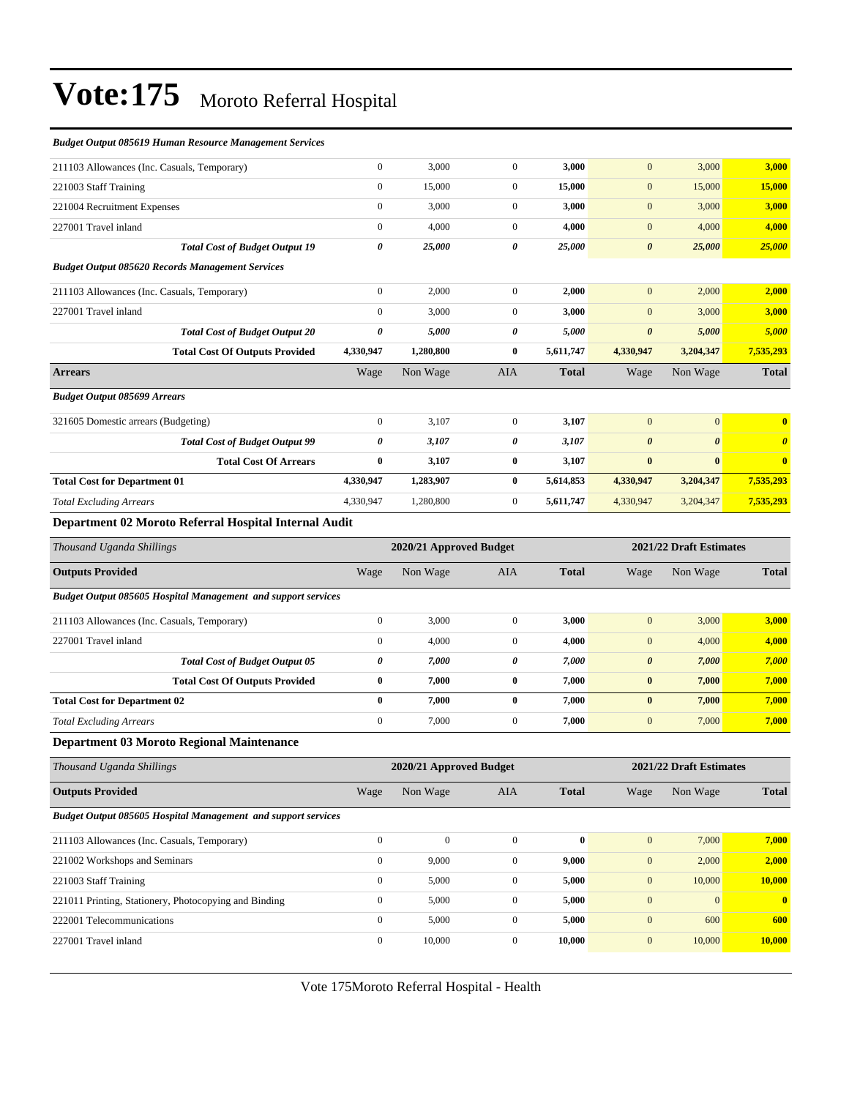| Budget Output 085619 Human Resource Management Services              |                       |                         |                  |              |                       |                         |                       |
|----------------------------------------------------------------------|-----------------------|-------------------------|------------------|--------------|-----------------------|-------------------------|-----------------------|
| 211103 Allowances (Inc. Casuals, Temporary)                          | $\boldsymbol{0}$      | 3,000                   | $\overline{0}$   | 3,000        | $\mathbf{0}$          | 3,000                   | 3,000                 |
| 221003 Staff Training                                                | $\boldsymbol{0}$      | 15,000                  | $\mathbf{0}$     | 15,000       | $\mathbf{0}$          | 15,000                  | 15,000                |
| 221004 Recruitment Expenses                                          | $\boldsymbol{0}$      | 3,000                   | $\overline{0}$   | 3,000        | $\boldsymbol{0}$      | 3,000                   | 3,000                 |
| 227001 Travel inland                                                 | $\boldsymbol{0}$      | 4,000                   | $\mathbf{0}$     | 4,000        | $\mathbf{0}$          | 4,000                   | 4,000                 |
| <b>Total Cost of Budget Output 19</b>                                | $\boldsymbol{\theta}$ | 25,000                  | 0                | 25,000       | $\boldsymbol{\theta}$ | 25,000                  | 25,000                |
| <b>Budget Output 085620 Records Management Services</b>              |                       |                         |                  |              |                       |                         |                       |
| 211103 Allowances (Inc. Casuals, Temporary)                          | $\boldsymbol{0}$      | 2,000                   | $\overline{0}$   | 2,000        | $\mathbf{0}$          | 2,000                   | 2,000                 |
| 227001 Travel inland                                                 | $\boldsymbol{0}$      | 3,000                   | $\mathbf{0}$     | 3,000        | $\mathbf{0}$          | 3,000                   | 3,000                 |
| <b>Total Cost of Budget Output 20</b>                                | $\boldsymbol{\theta}$ | 5,000                   | 0                | 5,000        | $\boldsymbol{\theta}$ | 5,000                   | 5,000                 |
| <b>Total Cost Of Outputs Provided</b>                                | 4,330,947             | 1,280,800               | $\bf{0}$         | 5,611,747    | 4,330,947             | 3,204,347               | 7,535,293             |
| <b>Arrears</b>                                                       | Wage                  | Non Wage                | AIA              | <b>Total</b> | Wage                  | Non Wage                | <b>Total</b>          |
| <b>Budget Output 085699 Arrears</b>                                  |                       |                         |                  |              |                       |                         |                       |
| 321605 Domestic arrears (Budgeting)                                  | $\boldsymbol{0}$      | 3,107                   | $\overline{0}$   | 3,107        | $\mathbf{0}$          | $\mathbf{0}$            | $\bf{0}$              |
| <b>Total Cost of Budget Output 99</b>                                | 0                     | 3,107                   | 0                | 3,107        | $\boldsymbol{\theta}$ | $\boldsymbol{\theta}$   | $\boldsymbol{\theta}$ |
| <b>Total Cost Of Arrears</b>                                         | $\bf{0}$              | 3,107                   | $\bf{0}$         | 3,107        | $\bf{0}$              | $\bf{0}$                | $\bf{0}$              |
| <b>Total Cost for Department 01</b>                                  | 4,330,947             | 1,283,907               | $\bf{0}$         | 5,614,853    | 4,330,947             | 3,204,347               | 7,535,293             |
| <b>Total Excluding Arrears</b>                                       | 4,330,947             | 1,280,800               | $\mathbf{0}$     | 5,611,747    | 4,330,947             | 3,204,347               | 7,535,293             |
| Department 02 Moroto Referral Hospital Internal Audit                |                       |                         |                  |              |                       |                         |                       |
| Thousand Uganda Shillings                                            |                       | 2020/21 Approved Budget |                  |              |                       | 2021/22 Draft Estimates |                       |
| <b>Outputs Provided</b>                                              | Wage                  | Non Wage                | AIA              | <b>Total</b> | Wage                  | Non Wage                | <b>Total</b>          |
| <b>Budget Output 085605 Hospital Management and support services</b> |                       |                         |                  |              |                       |                         |                       |
| 211103 Allowances (Inc. Casuals, Temporary)                          | $\boldsymbol{0}$      | 3,000                   | $\overline{0}$   | 3,000        | $\mathbf{0}$          | 3,000                   | 3,000                 |
| 227001 Travel inland                                                 | $\boldsymbol{0}$      | 4,000                   | $\mathbf{0}$     | 4,000        | $\mathbf{0}$          | 4,000                   | 4,000                 |
| <b>Total Cost of Budget Output 05</b>                                | 0                     | 7,000                   | 0                | 7,000        | $\boldsymbol{\theta}$ | 7,000                   | 7,000                 |
| <b>Total Cost Of Outputs Provided</b>                                | $\bf{0}$              | 7,000                   | $\bf{0}$         | 7,000        | $\pmb{0}$             | 7,000                   | 7,000                 |
| <b>Total Cost for Department 02</b>                                  | $\bf{0}$              | 7,000                   | $\bf{0}$         | 7,000        | $\bf{0}$              | 7,000                   | 7,000                 |
| <b>Total Excluding Arrears</b>                                       | $\boldsymbol{0}$      | 7,000                   | $\overline{0}$   | 7,000        | $\mathbf{0}$          | 7,000                   | 7,000                 |
| <b>Department 03 Moroto Regional Maintenance</b>                     |                       |                         |                  |              |                       |                         |                       |
| Thousand Uganda Shillings                                            |                       | 2020/21 Approved Budget |                  |              |                       | 2021/22 Draft Estimates |                       |
| <b>Outputs Provided</b>                                              | Wage                  | Non Wage                | AIA              | <b>Total</b> | Wage                  | Non Wage                | <b>Total</b>          |
| Budget Output 085605 Hospital Management and support services        |                       |                         |                  |              |                       |                         |                       |
| 211103 Allowances (Inc. Casuals, Temporary)                          | $\boldsymbol{0}$      | $\boldsymbol{0}$        | $\boldsymbol{0}$ | $\pmb{0}$    | $\mathbf{0}$          | 7,000                   | 7,000                 |
| 221002 Workshops and Seminars                                        | $\boldsymbol{0}$      | 9,000                   | $\boldsymbol{0}$ | 9,000        | $\mathbf{0}$          | 2,000                   | 2,000                 |
| 221003 Staff Training                                                | $\boldsymbol{0}$      | 5,000                   | $\boldsymbol{0}$ | 5,000        | $\boldsymbol{0}$      | 10,000                  | <b>10,000</b>         |
| 221011 Printing, Stationery, Photocopying and Binding                | $\boldsymbol{0}$      | 5,000                   | $\boldsymbol{0}$ | 5,000        | $\mathbf{0}$          | $\mathbf{0}$            | $\bf{0}$              |
| 222001 Telecommunications                                            | $\boldsymbol{0}$      | 5,000                   | $\boldsymbol{0}$ | 5,000        | $\mathbf{0}$          | 600                     | 600                   |
| 227001 Travel inland                                                 | $\boldsymbol{0}$      | 10,000                  | $\boldsymbol{0}$ | 10,000       | $\boldsymbol{0}$      | 10,000                  | 10,000                |
|                                                                      |                       |                         |                  |              |                       |                         |                       |